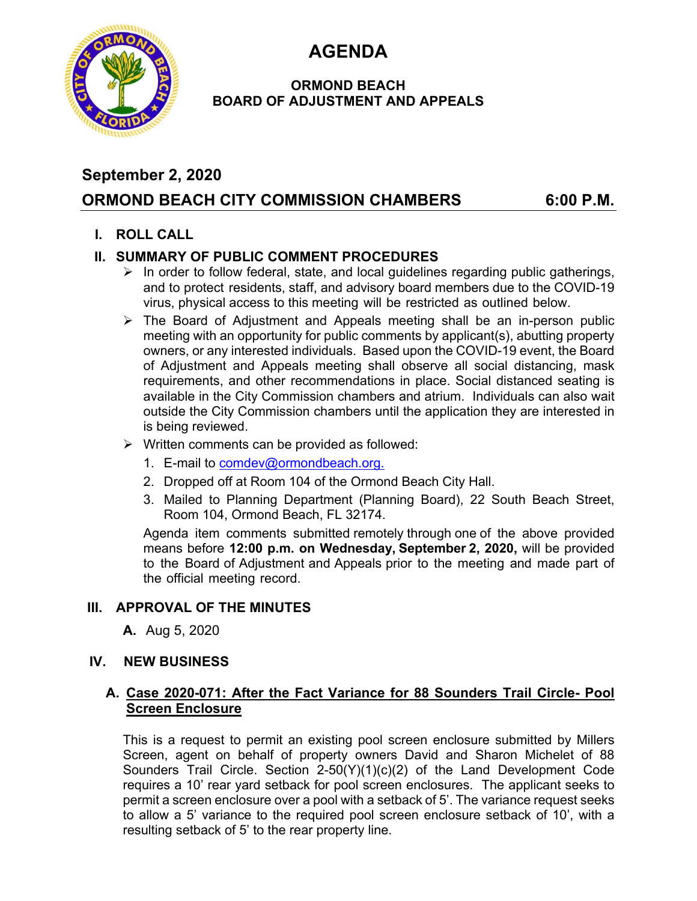**AGENDA** 



#### **ORMOND BEACH BOARD OF ADJUSTMENT AND APPEALS**

# **September 2, 2020 ORMOND BEACH CITY COMMISSION CHAMBERS 6:00 P.M.**

## **I. ROLL CALL**

## **II. SUMMARY OF PUBLIC COMMENT PROCEDURES**

- $\triangleright$  In order to follow federal, state, and local guidelines regarding public gatherings, and to protect residents, staff, and advisory board members due to the COVID-19 virus, physical access to this meeting will be restricted as outlined below.
- $\triangleright$  The Board of Adjustment and Appeals meeting shall be an in-person public meeting with an opportunity for public comments by applicant(s), abutting property owners, or any interested individuals. Based upon the COVID-19 event, the Board of Adjustment and Appeals meeting shall observe all social distancing, mask requirements, and other recommendations in place. Social distanced seating is available in the City Commission chambers and atrium. Individuals can also wait outside the City Commission chambers until the application they are interested in is being reviewed.
- $\triangleright$  Written comments can be provided as followed:
	- 1. E-mail to comdev@ormondbeach.org.
	- 2. Dropped off at Room 104 of the Ormond Beach City Hall.
	- 3. Mailed to Planning Department (Planning Board), 22 South Beach Street, Room 104, Ormond Beach, FL 32174.

Agenda item comments submitted remotely through one of the above provided means before **12:00 p.m. on Wednesday, September 2, 2020,** will be provided to the Board of Adjustment and Appeals prior to the meeting and made part of the official meeting record.

## **III. APPROVAL OF THE MINUTES**

**A.** Aug 5, 2020

#### **IV. NEW BUSINESS**

#### **A. Case 2020-071: After the Fact Variance for 88 Sounders Trail Circle- Pool Screen Enclosure**

This is a request to permit an existing pool screen enclosure submitted by Millers Screen, agent on behalf of property owners David and Sharon Michelet of 88 Sounders Trail Circle. Section 2-50(Y)(1)(c)(2) of the Land Development Code requires a 10' rear yard setback for pool screen enclosures. The applicant seeks to permit a screen enclosure over a pool with a setback of 5'. The variance request seeks to allow a 5' variance to the required pool screen enclosure setback of 10', with a resulting setback of 5' to the rear property line.